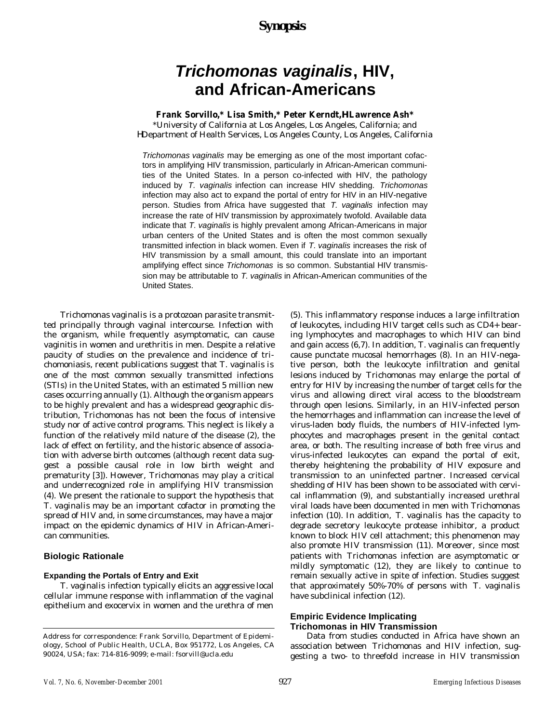# *Synopsis*

# *Trichomonas vaginalis***, HIV, and African-Americans**

### **Frank Sorvillo,\* Lisa Smith,\* Peter Kerndt,H Lawrence Ash\***

\*University of California at Los Angeles, Los Angeles, California; and HDepartment of Health Services, Los Angeles County, Los Angeles, California

*Trichomonas vaginalis* may be emerging as one of the most important cofactors in amplifying HIV transmission, particularly in African-American communities of the United States. In a person co-infected with HIV, the pathology induced by *T. vaginalis* infection can increase HIV shedding. *Trichomonas* infection may also act to expand the portal of entry for HIV in an HIV-negative person. Studies from Africa have suggested that *T. vaginalis* infection may increase the rate of HIV transmission by approximately twofold. Available data indicate that *T. vaginalis* is highly prevalent among African-Americans in major urban centers of the United States and is often the most common sexually transmitted infection in black women. Even if *T. vaginalis* increases the risk of HIV transmission by a small amount, this could translate into an important amplifying effect since *Trichomonas* is so common. Substantial HIV transmission may be attributable to *T. vaginalis* in African-American communities of the United States.

*Trichomonas vaginalis* is a protozoan parasite transmitted principally through vaginal intercourse. Infection with the organism, while frequently asymptomatic, can cause vaginitis in women and urethritis in men. Despite a relative paucity of studies on the prevalence and incidence of trichomoniasis, recent publications suggest that *T. vaginalis* is one of the most common sexually transmitted infections (STIs) in the United States, with an estimated 5 million new cases occurring annually (1). Although the organism appears to be highly prevalent and has a widespread geographic distribution, *Trichomonas* has not been the focus of intensive study nor of active control programs. This neglect is likely a function of the relatively mild nature of the disease (2), the lack of effect on fertility, and the historic absence of association with adverse birth outcomes (although recent data suggest a possible causal role in low birth weight and prematurity [3]). However, *Trichomonas* may play a critical and underrecognized role in amplifying HIV transmission (4). We present the rationale to support the hypothesis that *T. vaginalis* may be an important cofactor in promoting the spread of HIV and, in some circumstances, may have a major impact on the epidemic dynamics of HIV in African-American communities.

# **Biologic Rationale**

#### **Expanding the Portals of Entry and Exit**

*T. vaginalis* infection typically elicits an aggressive local cellular immune response with inflammation of the vaginal epithelium and exocervix in women and the urethra of men

(5). This inflammatory response induces a large infiltration of leukocytes, including HIV target cells such as CD4+ bearing lymphocytes and macrophages to which HIV can bind and gain access (6,7). In addition, *T. vaginalis* can frequently cause punctate mucosal hemorrhages (8). In an HIV-negative person, both the leukocyte infiltration and genital lesions induced by *Trichomonas* may enlarge the portal of entry for HIV by increasing the number of target cells for the virus and allowing direct viral access to the bloodstream through open lesions. Similarly, in an HIV-infected person the hemorrhages and inflammation can increase the level of virus-laden body fluids, the numbers of HIV-infected lymphocytes and macrophages present in the genital contact area, or both. The resulting increase of both free virus and virus-infected leukocytes can expand the portal of exit, thereby heightening the probability of HIV exposure and transmission to an uninfected partner. Increased cervical shedding of HIV has been shown to be associated with cervical inflammation (9), and substantially increased urethral viral loads have been documented in men with *Trichomonas* infection (10). In addition, *T. vaginalis* has the capacity to degrade secretory leukocyte protease inhibitor, a product known to block HIV cell attachment; this phenomenon may also promote HIV transmission (11). Moreover, since most patients with *Trichomonas* infection are asymptomatic or mildly symptomatic (12), they are likely to continue to remain sexually active in spite of infection. Studies suggest that approximately 50%-70% of persons with *T. vaginalis* have subclinical infection (12).

#### **Empiric Evidence Implicating Trichomonas in HIV Transmission**

Data from studies conducted in Africa have shown an association between *Trichomonas* and HIV infection, suggesting a two- to threefold increase in HIV transmission

Address for correspondence: Frank Sorvillo, Department of Epidemiology, School of Public Health, UCLA, Box 951772, Los Angeles, CA 90024, USA; fax: 714-816-9099; e-mail: fsorvill@ucla.edu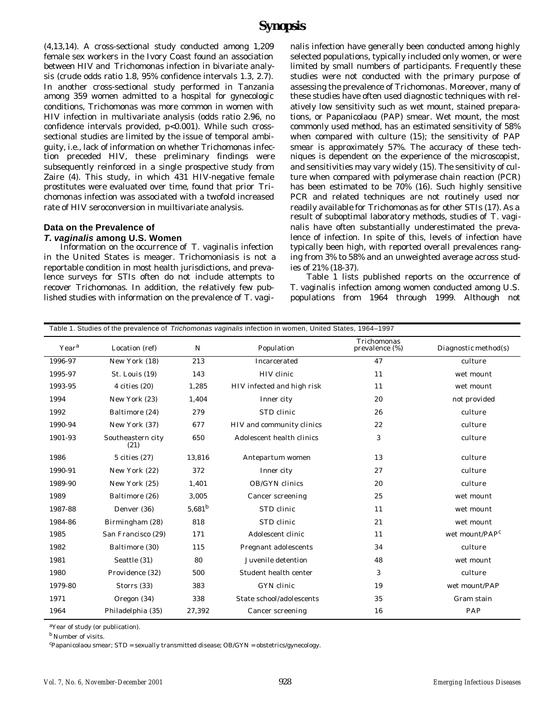(4,13,14). A cross-sectional study conducted among 1,209 female sex workers in the Ivory Coast found an association between HIV and *Trichomonas* infection in bivariate analysis (crude odds ratio 1.8, 95% confidence intervals 1.3, 2.7). In another cross-sectional study performed in Tanzania among 359 women admitted to a hospital for gynecologic conditions, *Trichomonas* was more common in women with HIV infection in multivariate analysis (odds ratio 2.96, no confidence intervals provided, p<0.001). While such crosssectional studies are limited by the issue of temporal ambiguity, i.e., lack of information on whether *Trichomonas* infection preceded HIV, these preliminary findings were subsequently reinforced in a single prospective study from Zaire (4). This study, in which 431 HIV-negative female prostitutes were evaluated over time, found that prior *Trichomonas* infection was associated with a twofold increased rate of HIV seroconversion in muiltivariate analysis.

#### **Data on the Prevalence of** *T. vaginalis* **among U.S. Women**

Information on the occurrence of *T. vaginalis* infection in the United States is meager. Trichomoniasis is not a reportable condition in most health jurisdictions, and prevalence surveys for STIs often do not include attempts to recover *Trichomonas*. In addition, the relatively few published studies with information on the prevalence of *T. vagi-*

*nalis* infection have generally been conducted among highly selected populations, typically included only women, or were limited by small numbers of participants. Frequently these studies were not conducted with the primary purpose of assessing the prevalence of *Trichomonas*. Moreover, many of these studies have often used diagnostic techniques with relatively low sensitivity such as wet mount, stained preparations, or Papanicolaou (PAP) smear. Wet mount, the most commonly used method, has an estimated sensitivity of 58% when compared with culture (15); the sensitivity of PAP smear is approximately 57%. The accuracy of these techniques is dependent on the experience of the microscopist, and sensitivities may vary widely (15). The sensitivity of culture when compared with polymerase chain reaction (PCR) has been estimated to be 70% (16). Such highly sensitive PCR and related techniques are not routinely used nor readily available for *Trichomonas* as for other STIs (17). As a result of suboptimal laboratory methods, studies of *T. vaginalis* have often substantially underestimated the prevalence of infection. In spite of this, levels of infection have typically been high, with reported overall prevalences ranging from 3% to 58% and an unweighted average across studies of 21% (18-37).

Table 1 lists published reports on the occurrence of *T. vaginalis* infection among women conducted among U.S. populations from 1964 through 1999. Although not

| Table 1. Studies of the prevalence of Trichomonas vaginalis infection in women, United States, 1964–1997 |                           |             |                            |                               |                            |  |  |
|----------------------------------------------------------------------------------------------------------|---------------------------|-------------|----------------------------|-------------------------------|----------------------------|--|--|
| Year <sup>a</sup>                                                                                        | Location (ref)            | N           | Population                 | Trichomonas<br>prevalence (%) | Diagnostic method(s)       |  |  |
| 1996-97                                                                                                  | New York (18)             | 213         | Incarcerated               | 47                            | culture                    |  |  |
| 1995-97                                                                                                  | St. Louis (19)            | 143         | HIV clinic                 | 11                            | wet mount                  |  |  |
| 1993-95                                                                                                  | $4 \text{ cities} (20)$   | 1,285       | HIV infected and high risk | 11                            | wet mount                  |  |  |
| 1994                                                                                                     | New York (23)             | 1,404       | Inner city                 | 20                            | not provided               |  |  |
| 1992                                                                                                     | Baltimore (24)            | 279         | STD clinic                 | 26                            | culture                    |  |  |
| 1990-94                                                                                                  | New York (37)             | 677         | HIV and community clinics  | 22                            | culture                    |  |  |
| 1901-93                                                                                                  | Southeastern city<br>(21) | 650         | Adolescent health clinics  | 3                             | culture                    |  |  |
| 1986                                                                                                     | $5$ cities $(27)$         | 13,816      | Antepartum women           | 13                            | culture                    |  |  |
| 1990-91                                                                                                  | New York (22)             | 372         | Inner city                 | 27                            | culture                    |  |  |
| 1989-90                                                                                                  | New York (25)             | 1,401       | OB/GYN clinics             | 20                            | culture                    |  |  |
| 1989                                                                                                     | Baltimore (26)            | 3,005       | Cancer screening           | 25                            | wet mount                  |  |  |
| 1987-88                                                                                                  | Denver (36)               | $5,681^{b}$ | STD clinic                 | 11                            | wet mount                  |  |  |
| 1984-86                                                                                                  | Birmingham (28)           | 818         | STD clinic                 | 21                            | wet mount                  |  |  |
| 1985                                                                                                     | San Francisco (29)        | 171         | Adolescent clinic          | 11                            | wet mount/PAP <sup>c</sup> |  |  |
| 1982                                                                                                     | Baltimore (30)            | 115         | Pregnant adolescents       | 34                            | culture                    |  |  |
| 1981                                                                                                     | Seattle (31)              | 80          | Juvenile detention         | 48                            | wet mount                  |  |  |
| 1980                                                                                                     | Providence (32)           | 500         | Student health center      | 3                             | culture                    |  |  |
| 1979-80                                                                                                  | Storrs (33)               | 383         | GYN clinic                 | 19                            | wet mount/PAP              |  |  |
| 1971                                                                                                     | Oregon (34)               | 338         | State school/adolescents   | 35                            | Gram stain                 |  |  |
| 1964                                                                                                     | Philadelphia (35)         | 27,392      | Cancer screening           | 16                            | PAP                        |  |  |

<sup>a</sup>Year of study (or publication).

**b** Number of visits.

<sup>c</sup>Papanicolaou smear; STD = sexually transmitted disease; OB/GYN = obstetrics/gynecology.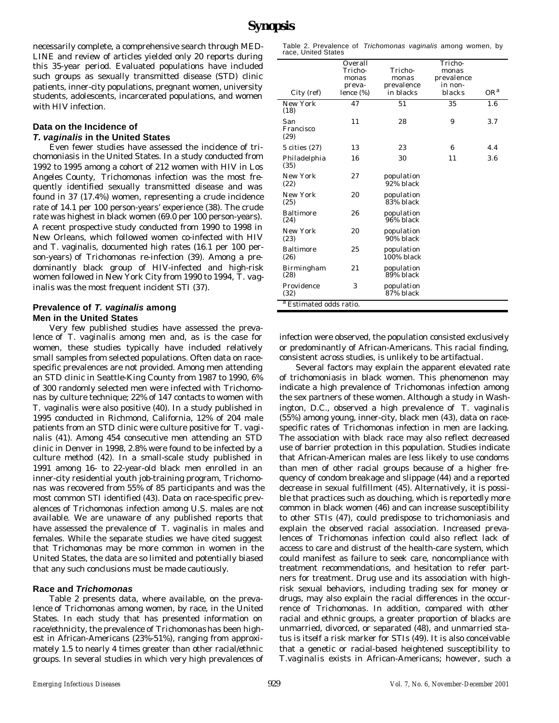necessarily complete, a comprehensive search through MED-LINE and review of articles yielded only 20 reports during this 35-year period. Evaluated populations have included such groups as sexually transmitted disease (STD) clinic patients, inner-city populations, pregnant women, university students, adolescents, incarcerated populations, and women with HIV infection.

### **Data on the Incidence of** *T. vaginalis* **in the United States**

Even fewer studies have assessed the incidence of trichomoniasis in the United States. In a study conducted from 1992 to 1995 among a cohort of 212 women with HIV in Los Angeles County, *Trichomonas* infection was the most frequently identified sexually transmitted disease and was found in 37 (17.4%) women, representing a crude incidence rate of 14.1 per 100 person-years' experience (38). The crude rate was highest in black women (69.0 per 100 person-years). A recent prospective study conducted from 1990 to 1998 in New Orleans, which followed women co-infected with HIV and *T.* vaginalis, documented high rates (16.1 per 100 person-years) of *Trichomonas* re-infection (39). Among a predominantly black group of HIV-infected and high-risk women followed in New York City from 1990 to 1994, *T. vaginalis* was the most frequent incident STI (37).

### **Prevalence of** *T. vaginalis* **among Men in the United States**

Very few published studies have assessed the prevalence of *T. vaginalis* among men and, as is the case for women, these studies typically have included relatively small samples from selected populations. Often data on racespecific prevalences are not provided. Among men attending an STD clinic in Seattle-King County from 1987 to 1990, 6% of 300 randomly selected men were infected with *Trichomonas* by culture technique; 22% of 147 contacts to women with *T. vaginalis* were also positive (40). In a study published in 1995 conducted in Richmond, California, 12% of 204 male patients from an STD clinic were culture positive for *T. vaginalis* (41). Among 454 consecutive men attending an STD clinic in Denver in 1998, 2.8% were found to be infected by a culture method (42). In a small-scale study published in 1991 among 16- to 22-year-old black men enrolled in an inner-city residential youth job-training program, *Trichomonas* was recovered from 55% of 85 participants and was the most common STI identified (43). Data on race-specific prevalences of *Trichomonas* infection among U.S. males are not available. We are unaware of any published reports that have assessed the prevalence of *T. vaginalis* in males and females. While the separate studies we have cited suggest that *Trichomonas* may be more common in women in the United States, the data are so limited and potentially biased that any such conclusions must be made cautiously.

# **Race and** *Trichomonas*

Table 2 presents data, where available, on the prevalence of *Trichomonas* among women, by race, in the United States. In each study that has presented information on race/ethnicity, the prevalence of *Trichomonas* has been highest in African-Americans (23%-51%), ranging from approximately 1.5 to nearly 4 times greater than other racial/ethnic groups. In several studies in which very high prevalences of

Table 2. Prevalence of *Trichomonas vaginalis* among women, by race, United States

|                                    | Overall   |                          | Tricho-    |                 |  |
|------------------------------------|-----------|--------------------------|------------|-----------------|--|
|                                    | Tricho-   | Tricho-                  | monas      |                 |  |
|                                    | monas     | monas                    | prevalence |                 |  |
|                                    | preva-    | prevalence               | in non-    |                 |  |
| City (ref)                         | lence (%) | in blacks                | blacks     | OR <sup>a</sup> |  |
| New York<br>(18)                   | 47        | 51                       | 35         | 1.6             |  |
| San<br>Francisco<br>(29)           | 11        | 28                       | 9          | 3.7             |  |
| 5 cities (27)                      | 13        | 23                       | 6          | 4.4             |  |
| Philadelphia<br>(35)               | 16        | 30                       | 11         | 3.6             |  |
| New York<br>(22)                   | 27        | population<br>92% black  |            |                 |  |
| New York<br>(25)                   | 20        | population<br>83% black  |            |                 |  |
| Baltimore<br>(24)                  | 26        | population<br>96% black  |            |                 |  |
| New York<br>(23)                   | 20        | population<br>90% black  |            |                 |  |
| Baltimore<br>(26)                  | 25        | population<br>100% black |            |                 |  |
| Birmingham<br>(28)                 | 21        | population<br>89% black  |            |                 |  |
| Providence<br>(32)                 | 3         | population<br>87% black  |            |                 |  |
| <sup>a</sup> Estimated odds ratio. |           |                          |            |                 |  |
|                                    |           |                          |            |                 |  |

infection were observed, the population consisted exclusively or predominantly of African-Americans. This racial finding, consistent across studies, is unlikely to be artifactual.

Several factors may explain the apparent elevated rate of trichomoniasis in black women. This phenomenon may indicate a high prevalence of *Trichomonas* infection among the sex partners of these women. Although a study in Washington, D.C., observed a high prevalence of *T. vaginalis* (55%) among young, inner-city, black men (43), data on racespecific rates of *Trichomonas* infection in men are lacking. The association with black race may also reflect decreased use of barrier protection in this population. Studies indicate that African-American males are less likely to use condoms than men of other racial groups because of a higher frequency of condom breakage and slippage (44) and a reported decrease in sexual fulfillment (45). Alternatively, it is possible that practices such as douching, which is reportedly more common in black women (46) and can increase susceptibility to other STIs (47), could predispose to trichomoniasis and explain the observed racial association. Increased prevalences of *Trichomonas* infection could also reflect lack of access to care and distrust of the health-care system, which could manifest as failure to seek care, noncompliance with treatment recommendations, and hesitation to refer partners for treatment. Drug use and its association with highrisk sexual behaviors, including trading sex for money or drugs, may also explain the racial differences in the occurrence of *Trichomonas*. In addition, compared with other racial and ethnic groups, a greater proportion of blacks are unmarried, divorced, or separated (48), and unmarried status is itself a risk marker for STIs (49). It is also conceivable that a genetic or racial-based heightened susceptibility to *T.vaginalis* exists in African-Americans; however, such a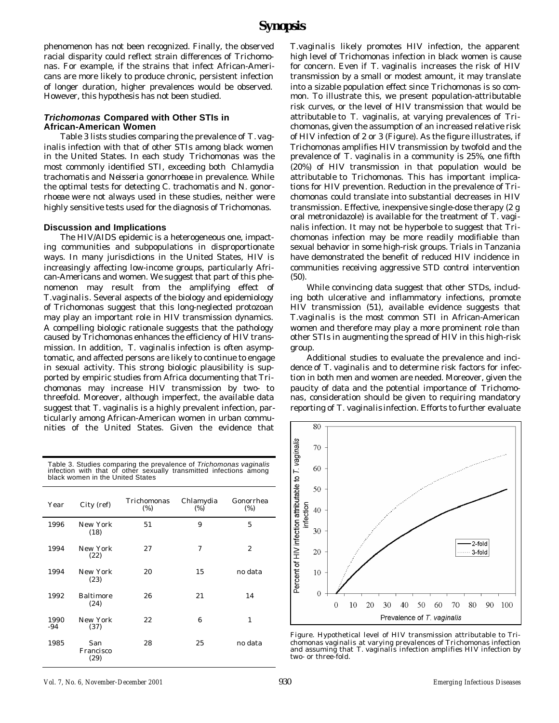phenomenon has not been recognized. Finally, the observed racial disparity could reflect strain differences of *Trichomonas*. For example, if the strains that infect African-Americans are more likely to produce chronic, persistent infection of longer duration, higher prevalences would be observed. However, this hypothesis has not been studied.

### *Trichomonas* **Compared with Other STIs in African-American Women**

Table 3 lists studies comparing the prevalence of *T. vaginalis* infection with that of other STIs among black women in the United States. In each study *Trichomonas* was the most commonly identified STI, exceeding both *Chlamydia trachomatis* and *Neisseria gonorrhoeae* in prevalence. While the optimal tests for detecting *C. trachomatis* and *N. gonorrhoeae* were not always used in these studies, neither were highly sensitive tests used for the diagnosis of *Trichomonas*.

# **Discussion and Implications**

The HIV/AIDS epidemic is a heterogeneous one, impacting communities and subpopulations in disproportionate ways. In many jurisdictions in the United States, HIV is increasingly affecting low-income groups, particularly African-Americans and women. We suggest that part of this phenomenon may result from the amplifying effect of *T.vaginalis*. Several aspects of the biology and epidemiology of *Trichomonas* suggest that this long-neglected protozoan may play an important role in HIV transmission dynamics. A compelling biologic rationale suggests that the pathology caused by *Trichomonas* enhances the efficiency of HIV transmission. In addition, *T. vaginalis* infection is often asymptomatic, and affected persons are likely to continue to engage in sexual activity. This strong biologic plausibility is supported by empiric studies from Africa documenting that *Trichomonas* may increase HIV transmission by two- to threefold. Moreover, although imperfect, the available data suggest that *T. vaginalis* is a highly prevalent infection, particularly among African-American women in urban communities of the United States. Given the evidence that

Table 3. Studies comparing the prevalence of *Trichomonas vaginalis* infection with that of other sexually transmitted infections among black women in the United States

| Year        | City (ref)               | Trichomonas<br>(% ) | Chlamydia<br>(%)         | Gonorrhea<br>(% ) |
|-------------|--------------------------|---------------------|--------------------------|-------------------|
| 1996        | New York<br>(18)         | 51                  | 9                        | 5                 |
| 1994        | New York<br>(22)         | 27                  | $\overline{\mathcal{U}}$ | $\overline{c}$    |
| 1994        | New York<br>(23)         | 20                  | 15                       | no data           |
| 1992        | Baltimore<br>(24)        | 26                  | 21                       | 14                |
| 1990<br>-94 | New York<br>(37)         | 22                  | 6                        | 1                 |
| 1985        | San<br>Francisco<br>(29) | 28                  | 25                       | no data           |

*T.vaginalis* likely promotes HIV infection, the apparent high level of *Trichomonas* infection in black women is cause for concern. Even if *T. vaginalis* increases the risk of HIV transmission by a small or modest amount, it may translate into a sizable population effect since *Trichomonas* is so common. To illustrate this, we present population-attributable risk curves, or the level of HIV transmission that would be attributable to *T. vaginalis*, at varying prevalences of *Trichomonas,* given the assumption of an increased relative risk of HIV infection of 2 or 3 (Figure). As the figure illustrates, if *Trichomonas* amplifies HIV transmission by twofold and the prevalence of *T. vaginalis* in a community is 25%, one fifth (20%) of HIV transmission in that population would be attributable to *Trichomonas*. This has important implications for HIV prevention. Reduction in the prevalence of *Trichomonas* could translate into substantial decreases in HIV transmission. Effective, inexpensive single-dose therapy (2 g oral metronidazole) is available for the treatment of *T. vaginalis* infection. It may not be hyperbole to suggest that *Trichomonas* infection may be more readily modifiable than sexual behavior in some high-risk groups. Trials in Tanzania have demonstrated the benefit of reduced HIV incidence in communities receiving aggressive STD control intervention (50).

While convincing data suggest that other STDs, including both ulcerative and inflammatory infections, promote HIV transmission (51), available evidence suggests that *T.vaginalis* is the most common STI in African-American women and therefore may play a more prominent role than other STIs in augmenting the spread of HIV in this high-risk group.

Additional studies to evaluate the prevalence and incidence of *T. vaginalis* and to determine risk factors for infection in both men and women are needed. Moreover, given the paucity of data and the potential importance of *Trichomonas*, consideration should be given to requiring mandatory reporting of *T. vaginalis* infection. Efforts to further evaluate



Figure. Hypothetical level of HIV transmission attributable to *Trichomonas vaginalis* at varying prevalences of *Trichomonas* infection and assuming that *T. vaginalis* infection amplifies HIV infection by two- or three-fold.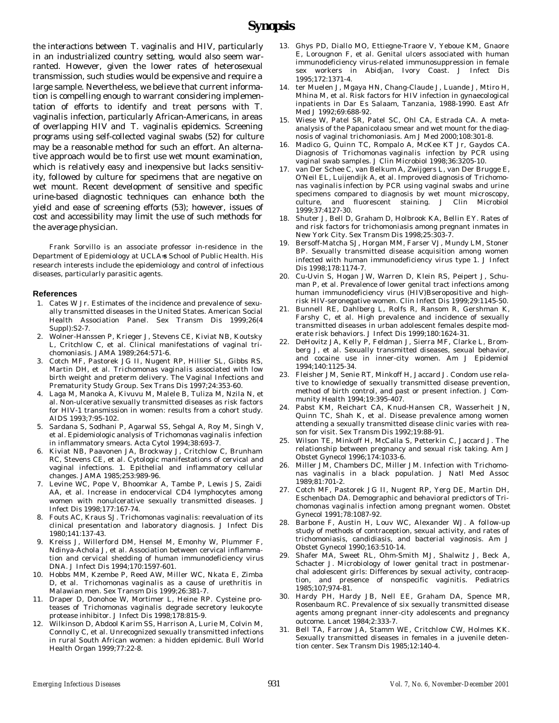the interactions between *T. vaginalis* and HIV, particularly in an industrialized country setting, would also seem warranted. However, given the lower rates of heterosexual transmission, such studies would be expensive and require a large sample. Nevertheless, we believe that current information is compelling enough to warrant considering implementation of efforts to identify and treat persons with *T. vaginalis* infection, particularly African-Americans, in areas of overlapping HIV and *T. vaginalis* epidemics. Screening programs using self-collected vaginal swabs (52) for culture may be a reasonable method for such an effort. An alternative approach would be to first use wet mount examination, which is relatively easy and inexpensive but lacks sensitivity, followed by culture for specimens that are negative on wet mount. Recent development of sensitive and specific urine-based diagnostic techniques can enhance both the yield and ease of screening efforts (53); however, issues of cost and accessibility may limit the use of such methods for the average physician.

Frank Sorvillo is an associate professor in-residence in the Department of Epidemiology at UCLA=s School of Public Health. His research interests include the epidemiology and control of infectious diseases, particularly parasitic agents.

#### **References**

- 1. Cates W Jr. Estimates of the incidence and prevalence of sexually transmitted diseases in the United States. American Social Health Association Panel. Sex Transm Dis 1999;26(4 Suppl):S2-7.
- 2. Wolner-Hanssen P, Krieger J, Stevens CE, Kiviat NB, Koutsky L, Critchlow C, et al. Clinical manifestations of vaginal trichomoniasis. JAMA 1989;264:571-6.
- 3. Cotch MF, Pastorek JG II, Nugent RP, Hillier SL, Gibbs RS, Martin DH, et al. *Trichomonas vaginalis* associated with low birth weight and preterm delivery. The Vaginal Infections and Prematurity Study Group. Sex Trans Dis 1997;24:353-60.
- 4. Laga M, Manoka A, Kivuvu M, Malele B, Tuliza M, Nzila N, et al. Non-ulcerative sexually transmitted diseases as risk factors for HIV-1 transmission in women: results from a cohort study. AIDS 1993;7:95-102.
- 5. Sardana S, Sodhani P, Agarwal SS, Sehgal A, Roy M, Singh V, et al. Epidemiologic analysis of *Trichomonas vaginalis* infection in inflammatory smears. Acta Cytol 1994;38:693-7.
- 6. Kiviat NB, Paavonen JA, Brockway J, Critchlow C, Brunham RC, Stevens CE, et al. Cytologic manifestations of cervical and vaginal infections. 1. Epithelial and inflammatory cellular changes. JAMA 1985;253:989-96.
- 7. Levine WC, Pope V, Bhoomkar A, Tambe P, Lewis JS, Zaidi AA, et al. Increase in endocervical CD4 lymphocytes among women with nonulcerative sexually transmitted diseases. Infect Dis 1998;177:167-74.
- 8. Fouts AC, Kraus SJ. *Trichomonas vaginalis*: reevaluation of its clinical presentation and laboratory diagnosis. J Infect Dis 1980;141:137-43.
- 9. Kreiss J, Willerford DM, Hensel M, Emonhy W, Plummer F, Ndinya-Achola J, et al. Association between cervical inflammation and cervical shedding of human immunodeficiency virus DNA. J Infect Dis 1994;170:1597-601.
- 10. Hobbs MM, Kzembe P, Reed AW, Miller WC, Nkata E, Zimba D, et al. *Trichomonas vaginalis* as a cause of urethritis in Malawian men. Sex Transm Dis 1999;26:381-7.
- 11. Draper D, Donohoe W, Mortimer L, Heine RP. Cysteine proteases of *Trichomonas vaginalis* degrade secretory leukocyte protease inhibitor. J Infect Dis 1998;178:815-9.
- 12. Wilkinson D, Abdool Karim SS, Harrison A, Lurie M, Colvin M, Connolly C, et al. Unrecognized sexually transmitted infections in rural South African women: a hidden epidemic. Bull World Health Organ 1999;77:22-8.
- 13. Ghys PD, Diallo MO, Ettiegne-Traore V, Yeboue KM, Gnaore E, Lorougnon F, et al. Genital ulcers associated with human immunodeficiency virus-related immunosuppression in female sex workers in Abidjan, Ivory Coast. J Infect Dis 1995;172:1371-4.
- 14. ter Muelen J, Mgaya HN, Chang-Claude J, Luande J, Mtiro H, Mhina M, et al. Risk factors for HIV infection in gynaecological inpatients in Dar Es Salaam, Tanzania, 1988-1990. East Afr Med J 1992;69:688-92.
- Wiese W, Patel SR, Patel SC, Ohl CA, Estrada CA. A metaanalysis of the Papanicolaou smear and wet mount for the diagnosis of vaginal trichomoniasis. Am J Med 2000;108:301-8.
- 16. Madico G, Quinn TC, Rompalo A, McKee KT Jr, Gaydos CA. Diagnosis of *Trichomonas vaginalis* infection by PCR using vaginal swab samples. J Clin Microbiol 1998;36:3205-10.
- 17. van Der Schee C, van Belkum A, Zwijgers L, van Der Brugge E, O'Neil EL, Luijendijk A, et al. Improved diagnosis of *Trichomonas vaginalis* infection by PCR using vaginal swabs and urine specimens compared to diagnosis by wet mount microscopy, culture, and fluorescent staining. J Clin Microbiol 1999;37:4127-30.
- 18. Shuter J, Bell D, Graham D, Holbrook KA, Bellin EY. Rates of and risk factors for trichomoniasis among pregnant inmates in New York City. Sex Transm Dis 1998;25:303-7.
- Bersoff-Matcha SJ, Horgan MM, Farser VJ, Mundy LM, Stoner BP. Sexually transmitted disease acquisition among women infected with human immunodeficiency virus type 1. J Infect Dis 1998;178:1174-7.
- 20. Cu-Uvin S, Hogan JW, Warren D, Klein RS, Peipert J, Schuman P, et al. Prevalence of lower genital tract infections among human immunodeficiency virus (HIV)Bseropositive and highrisk HIV-seronegative women. Clin Infect Dis 1999;29:1145-50.
- 21. Bunnell RE, Dahlberg L, Rolfs R, Ransom R, Gershman K, Farshy C, et al. High prevalence and incidence of sexually transmitted diseases in urban adolescent females despite moderate risk behaviors. J Infect Dis 1999;180:1624-31.
- DeHovitz JA, Kelly P, Feldman J, Sierra MF, Clarke L, Bromberg J, et al. Sexually transmitted diseases, sexual behavior, and cocaine use in inner-city women. Am J Epidemiol 1994;140:1125-34.
- 23. Fleisher JM, Senie RT, Minkoff H, Jaccard J. Condom use relative to knowledge of sexually transmitted disease prevention, method of birth control, and past or present infection. J Community Health 1994;19:395-407.
- 24. Pabst KM, Reichart CA, Knud-Hansen CR, Wasserheit JN, Quinn TC, Shah K, et al. Disease prevalence among women attending a sexually transmitted disease clinic varies with reason for visit. Sex Transm Dis 1992;19:88-91.
- 25. Wilson TE, Minkoff H, McCalla S, Petterkin C, Jaccard J. The relationship between pregnancy and sexual risk taking. Am J Obstet Gynecol 1996;174:1033-6.
- 26. Miller JM, Chambers DC, Miller JM. Infection with *Trichomonas vaginalis* in a black population. J Natl Med Assoc 1989;81:701-2.
- 27. Cotch MF, Pastorek JG II, Nugent RP, Yerg DE, Martin DH, Eschenbach DA. Demographic and behavioral predictors of *Trichomonas vaginalis* infection among pregnant women. Obstet Gynecol 1991;78:1087-92.
- 28. Barbone F, Austin H, Louv WC, Alexander WJ. A follow-up study of methods of contraception, sexual activity, and rates of trichomoniasis, candidiasis, and bacterial vaginosis. Am J Obstet Gynecol 1990;163:510-14.
- 29. Shafer MA, Sweet RL, Ohm-Smith MJ, Shalwitz J, Beck A, Schacter J. Microbiology of lower genital tract in postmenarchal adolescent girls: Differences by sexual activity, contraception, and presence of nonspecific vaginitis. Pediatrics 1985;107;974-81.
- 30. Hardy PH, Hardy JB, Nell EE, Graham DA, Spence MR, Rosenbaum RC. Prevalence of six sexually transmitted disease agents among pregnant inner-city adolescents and pregnancy outcome. Lancet 1984;2:333-7.
- 31. Bell TA, Farrow JA, Stamm WE, Critchlow CW, Holmes KK. Sexually transmitted diseases in females in a juvenile detention center. Sex Transm Dis 1985;12:140-4.